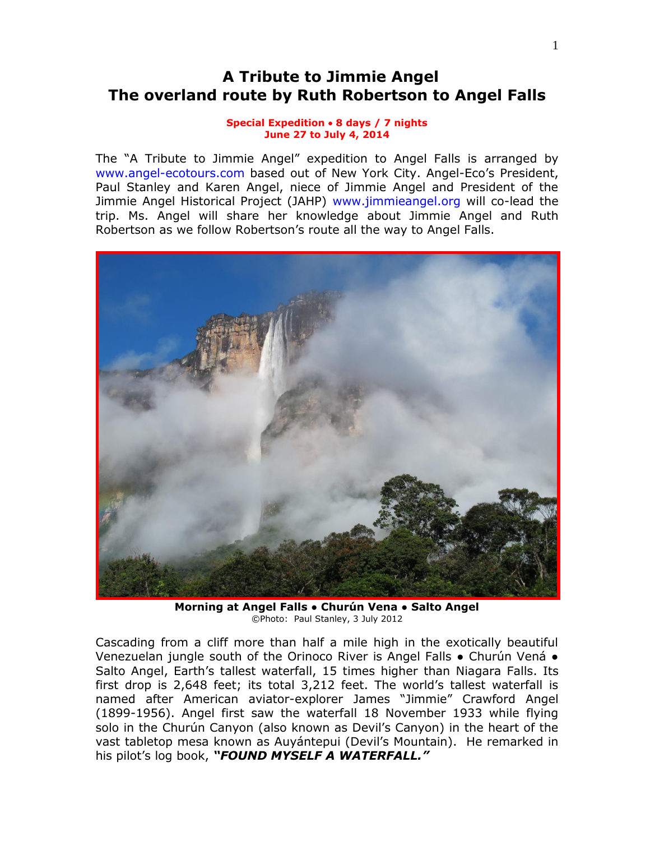# **A Tribute to Jimmie Angel The overland route by Ruth Robertson to Angel Falls**

#### **Special Expedition 8 days / 7 nights June 27 to July 4, 2014**

The "A Tribute to Jimmie Angel" expedition to Angel Falls is arranged by [www.angel-ecotours.com](http://www.angel-ecotours.com/) based out of New York City. Angel-Eco's President, Paul Stanley and Karen Angel, niece of Jimmie Angel and President of the Jimmie Angel Historical Project (JAHP) [www.jimmieangel.org](http://www.jimmieangel.org/) will co-lead the trip. Ms. Angel will share her knowledge about Jimmie Angel and Ruth Robertson as we follow Robertson's route all the way to Angel Falls.



**Morning at Angel Falls ● Churún Vena ● Salto Angel** ©Photo: Paul Stanley, 3 July 2012

Cascading from a cliff more than half a mile high in the exotically beautiful Venezuelan jungle south of the Orinoco River is Angel Falls ● Churún Vená ● Salto Angel, Earth's tallest waterfall, 15 times higher than Niagara Falls. Its first drop is 2,648 feet; its total 3,212 feet. The world's tallest waterfall is named after American aviator-explorer James "Jimmie" Crawford Angel (1899-1956). Angel first saw the waterfall 18 November 1933 while flying solo in the Churún Canyon (also known as Devil's Canyon) in the heart of the vast tabletop mesa known as Auyántepui (Devil's Mountain). He remarked in his pilot's log book, *"FOUND MYSELF A WATERFALL."*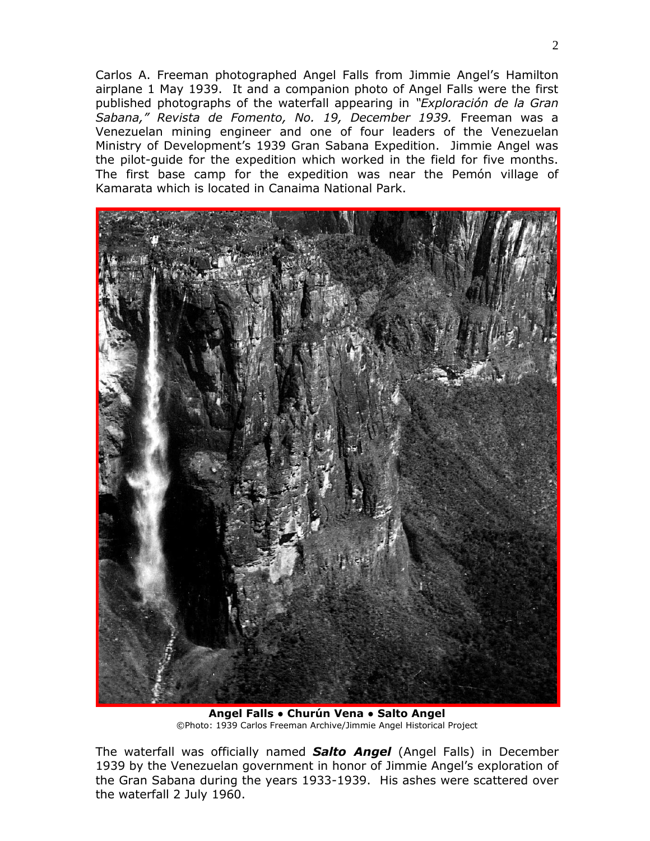Carlos A. Freeman photographed Angel Falls from Jimmie Angel's Hamilton airplane 1 May 1939. It and a companion photo of Angel Falls were the first published photographs of the waterfall appearing in *"Exploración de la Gran Sabana," Revista de Fomento, No. 19, December 1939.* Freeman was a Venezuelan mining engineer and one of four leaders of the Venezuelan Ministry of Development's 1939 Gran Sabana Expedition. Jimmie Angel was the pilot-guide for the expedition which worked in the field for five months. The first base camp for the expedition was near the Pemón village of Kamarata which is located in Canaima National Park.



**Angel Falls ● Churún Vena ● Salto Angel** ©Photo: 1939 Carlos Freeman Archive/Jimmie Angel Historical Project

The waterfall was officially named *Salto Angel* (Angel Falls) in December 1939 by the Venezuelan government in honor of Jimmie Angel's exploration of the Gran Sabana during the years 1933-1939. His ashes were scattered over the waterfall 2 July 1960.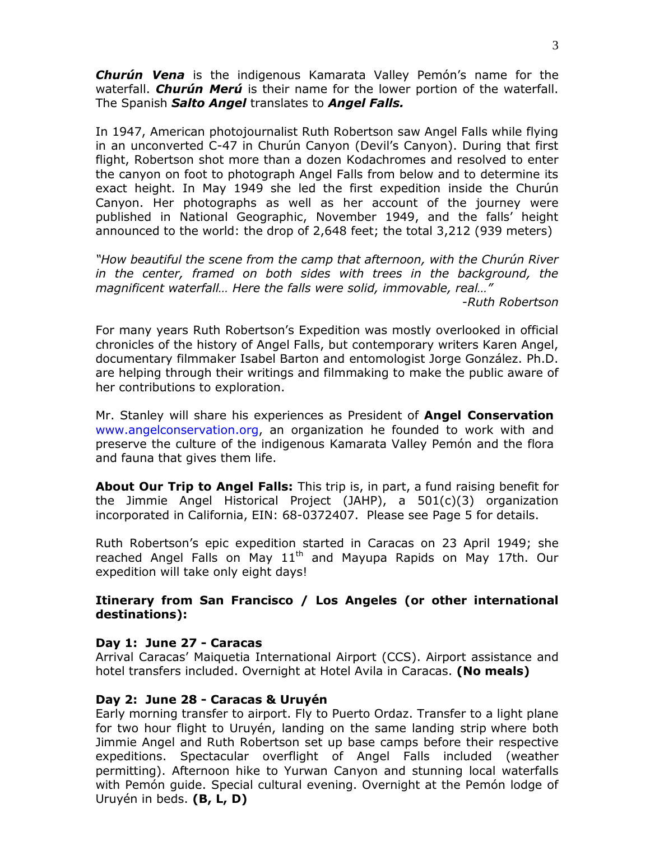*Churún Vena* is the indigenous Kamarata Valley Pemón's name for the waterfall. *Churún Merú* is their name for the lower portion of the waterfall. The Spanish *Salto Angel* translates to *Angel Falls.*

In 1947, American photojournalist Ruth Robertson saw Angel Falls while flying in an unconverted C-47 in Churún Canyon (Devil's Canyon). During that first flight, Robertson shot more than a dozen Kodachromes and resolved to enter the canyon on foot to photograph Angel Falls from below and to determine its exact height. In May 1949 she led the first expedition inside the Churún Canyon. Her photographs as well as her account of the journey were published in National Geographic, November 1949, and the falls' height announced to the world: the drop of 2,648 feet; the total 3,212 (939 meters)

*"How beautiful the scene from the camp that afternoon, with the Churún River in the center, framed on both sides with trees in the background, the magnificent waterfall… Here the falls were solid, immovable, real…"*

*-Ruth Robertson*

For many years Ruth Robertson's Expedition was mostly overlooked in official chronicles of the history of Angel Falls, but contemporary writers Karen Angel, documentary filmmaker Isabel Barton and entomologist Jorge González. Ph.D. are helping through their writings and filmmaking to make the public aware of her contributions to exploration.

Mr. Stanley will share his experiences as President of **Angel Conservation**  [www.angelconservation.org,](http://www.angelconservation.org/) an organization he founded to work with and preserve the culture of the indigenous Kamarata Valley Pemón and the flora and fauna that gives them life.

**About Our Trip to Angel Falls:** This trip is, in part, a fund raising benefit for the Jimmie Angel Historical Project (JAHP), a 501(c)(3) organization incorporated in California, EIN: 68-0372407. Please see Page 5 for details.

Ruth Robertson's epic expedition started in Caracas on 23 April 1949; she reached Angel Falls on May  $11<sup>th</sup>$  and Mayupa Rapids on May 17th. Our expedition will take only eight days!

# **Itinerary from San Francisco / Los Angeles (or other international destinations):**

# **Day 1: June 27 - Caracas**

Arrival Caracas' Maiquetia International Airport (CCS). Airport assistance and hotel transfers included. Overnight at Hotel Avila in Caracas. **(No meals)**

## **Day 2: June 28 - Caracas & Uruyén**

Early morning transfer to airport. Fly to Puerto Ordaz. Transfer to a light plane for two hour flight to Uruyén, landing on the same landing strip where both Jimmie Angel and Ruth Robertson set up base camps before their respective expeditions. Spectacular overflight of Angel Falls included (weather permitting). Afternoon hike to Yurwan Canyon and stunning local waterfalls with Pemón guide. Special cultural evening. Overnight at the Pemón lodge of Uruyén in beds. **(B, L, D)**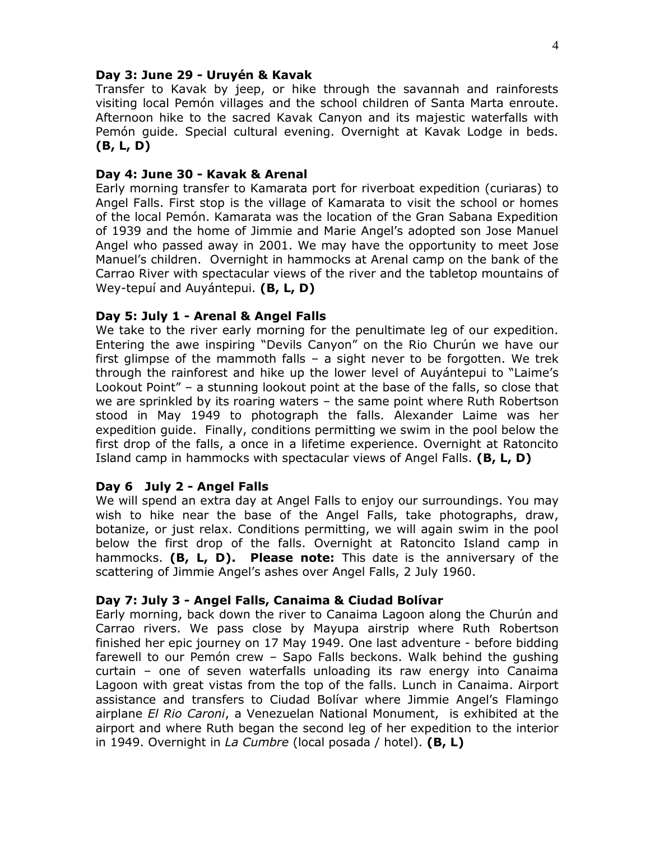#### **Day 3: June 29 - Uruyén & Kavak**

Transfer to Kavak by jeep, or hike through the savannah and rainforests visiting local Pemón villages and the school children of Santa Marta enroute. Afternoon hike to the sacred Kavak Canyon and its majestic waterfalls with Pemón guide. Special cultural evening. Overnight at Kavak Lodge in beds. **(B, L, D)**

## **Day 4: June 30 - Kavak & Arenal**

Early morning transfer to Kamarata port for riverboat expedition (curiaras) to Angel Falls. First stop is the village of Kamarata to visit the school or homes of the local Pemón. Kamarata was the location of the Gran Sabana Expedition of 1939 and the home of Jimmie and Marie Angel's adopted son Jose Manuel Angel who passed away in 2001. We may have the opportunity to meet Jose Manuel's children. Overnight in hammocks at Arenal camp on the bank of the Carrao River with spectacular views of the river and the tabletop mountains of Wey-tepuí and Auyántepui. **(B, L, D)**

## **Day 5: July 1 - Arenal & Angel Falls**

We take to the river early morning for the penultimate leg of our expedition. Entering the awe inspiring "Devils Canyon" on the Rio Churún we have our first glimpse of the mammoth falls – a sight never to be forgotten. We trek through the rainforest and hike up the lower level of Auyántepui to "Laime's Lookout Point" – a stunning lookout point at the base of the falls, so close that we are sprinkled by its roaring waters – the same point where Ruth Robertson stood in May 1949 to photograph the falls. Alexander Laime was her expedition guide. Finally, conditions permitting we swim in the pool below the first drop of the falls, a once in a lifetime experience. Overnight at Ratoncito Island camp in hammocks with spectacular views of Angel Falls. **(B, L, D)**

#### **Day 6 July 2 - Angel Falls**

We will spend an extra day at Angel Falls to enjoy our surroundings. You may wish to hike near the base of the Angel Falls, take photographs, draw, botanize, or just relax. Conditions permitting, we will again swim in the pool below the first drop of the falls. Overnight at Ratoncito Island camp in hammocks. **(B, L, D). Please note:** This date is the anniversary of the scattering of Jimmie Angel's ashes over Angel Falls, 2 July 1960.

#### **Day 7: July 3 - Angel Falls, Canaima & Ciudad Bolívar**

Early morning, back down the river to Canaima Lagoon along the Churún and Carrao rivers. We pass close by Mayupa airstrip where Ruth Robertson finished her epic journey on 17 May 1949. One last adventure - before bidding farewell to our Pemón crew – Sapo Falls beckons. Walk behind the gushing curtain – one of seven waterfalls unloading its raw energy into Canaima Lagoon with great vistas from the top of the falls. Lunch in Canaima. Airport assistance and transfers to Ciudad Bolívar where Jimmie Angel's Flamingo airplane *El Rio Caroni*, a Venezuelan National Monument, is exhibited at the airport and where Ruth began the second leg of her expedition to the interior in 1949. Overnight in *La Cumbre* (local posada / hotel). **(B, L)**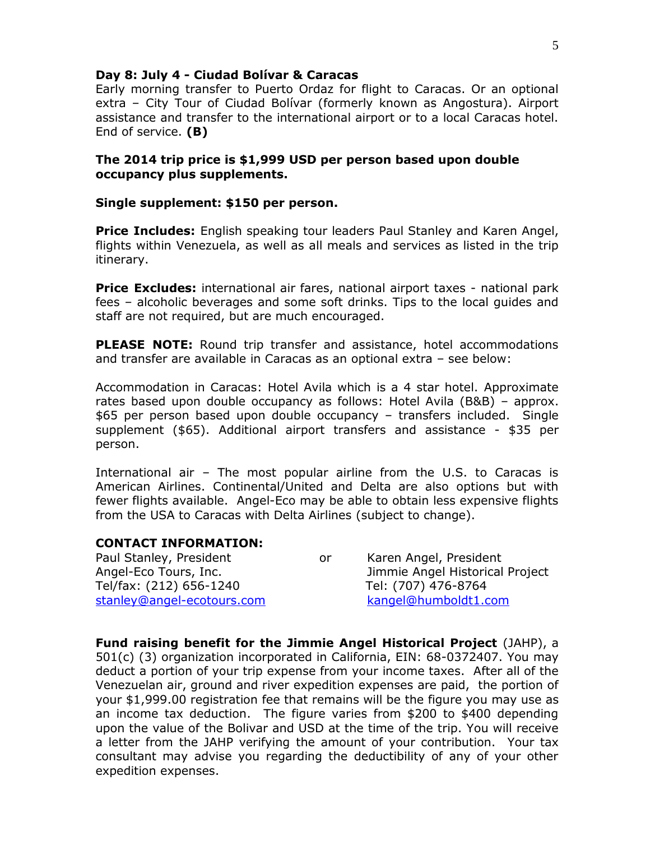#### **Day 8: July 4 - Ciudad Bolívar & Caracas**

Early morning transfer to Puerto Ordaz for flight to Caracas. Or an optional extra – City Tour of Ciudad Bolívar (formerly known as Angostura). Airport assistance and transfer to the international airport or to a local Caracas hotel. End of service. **(B)**

## **The 2014 trip price is \$1,999 USD per person based upon double occupancy plus supplements.**

#### **Single supplement: \$150 per person.**

**Price Includes:** English speaking tour leaders Paul Stanley and Karen Angel, flights within Venezuela, as well as all meals and services as listed in the trip itinerary.

**Price Excludes:** international air fares, national airport taxes - national park fees – alcoholic beverages and some soft drinks. Tips to the local guides and staff are not required, but are much encouraged.

**PLEASE NOTE:** Round trip transfer and assistance, hotel accommodations and transfer are available in Caracas as an optional extra – see below:

Accommodation in Caracas: Hotel Avila which is a 4 star hotel. Approximate rates based upon double occupancy as follows: Hotel Avila (B&B) – approx. \$65 per person based upon double occupancy – transfers included. Single supplement (\$65). Additional airport transfers and assistance - \$35 per person.

International air – The most popular airline from the U.S. to Caracas is American Airlines. Continental/United and Delta are also options but with fewer flights available. Angel-Eco may be able to obtain less expensive flights from the USA to Caracas with Delta Airlines (subject to change).

## **CONTACT INFORMATION:**

Paul Stanley, President **Constant Constructs** or Karen Angel, President Tel/fax: (212) 656-1240 Tel: (707) 476-8764 [stanley@angel-ecotours.com](mailto:stanley@angel-ecotours.com) [kangel@humboldt1.com](mailto:kangel@humboldt1.com)

Angel-Eco Tours, Inc. Jimmie Angel Historical Project

**Fund raising benefit for the Jimmie Angel Historical Project** (JAHP), a 501(c) (3) organization incorporated in California, EIN: 68-0372407. You may deduct a portion of your trip expense from your income taxes. After all of the Venezuelan air, ground and river expedition expenses are paid, the portion of your \$1,999.00 registration fee that remains will be the figure you may use as an income tax deduction. The figure varies from \$200 to \$400 depending upon the value of the Bolivar and USD at the time of the trip. You will receive a letter from the JAHP verifying the amount of your contribution. Your tax consultant may advise you regarding the deductibility of any of your other expedition expenses.